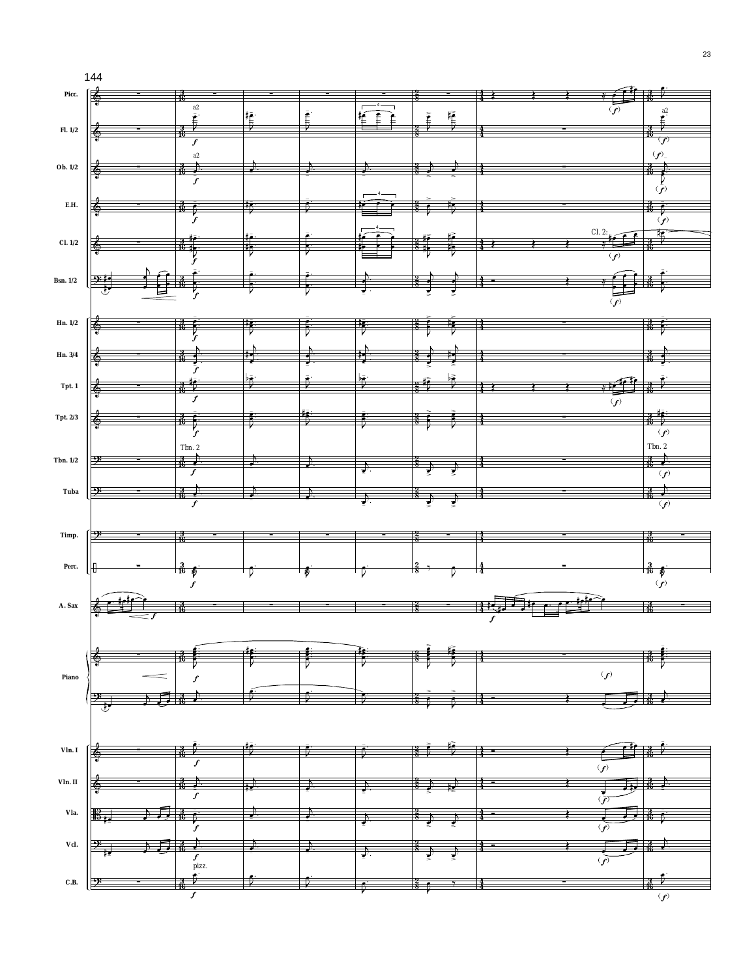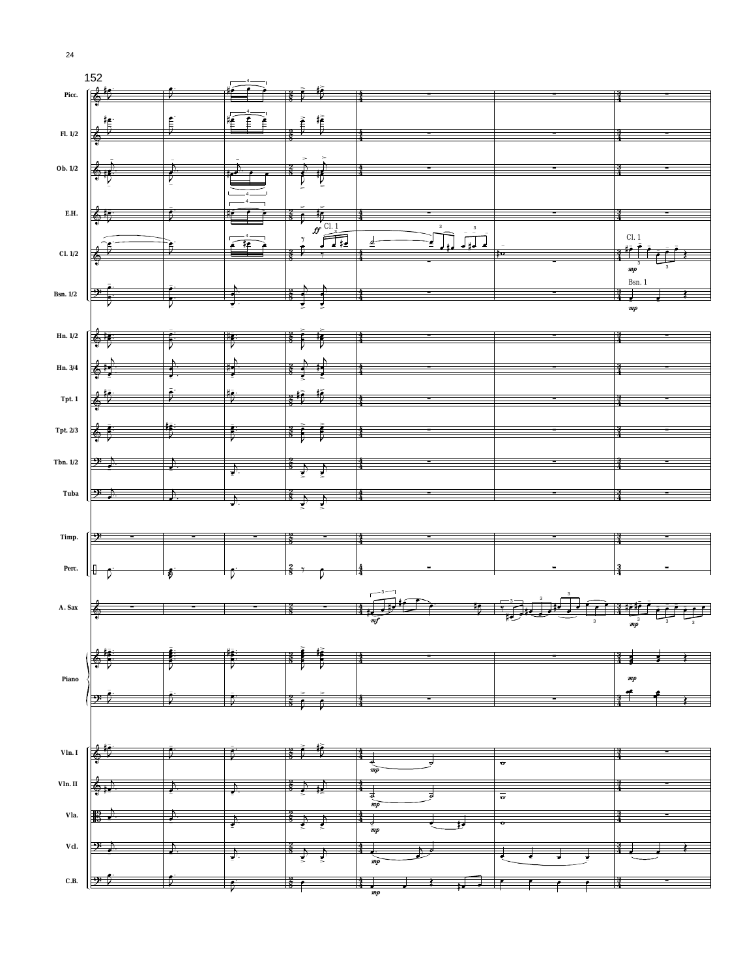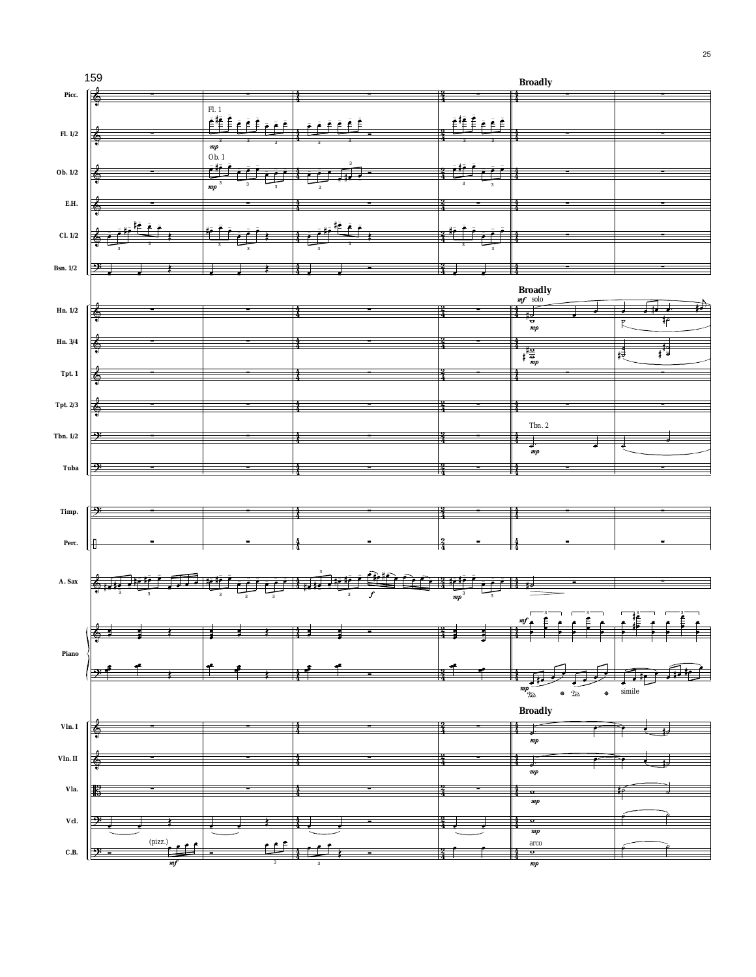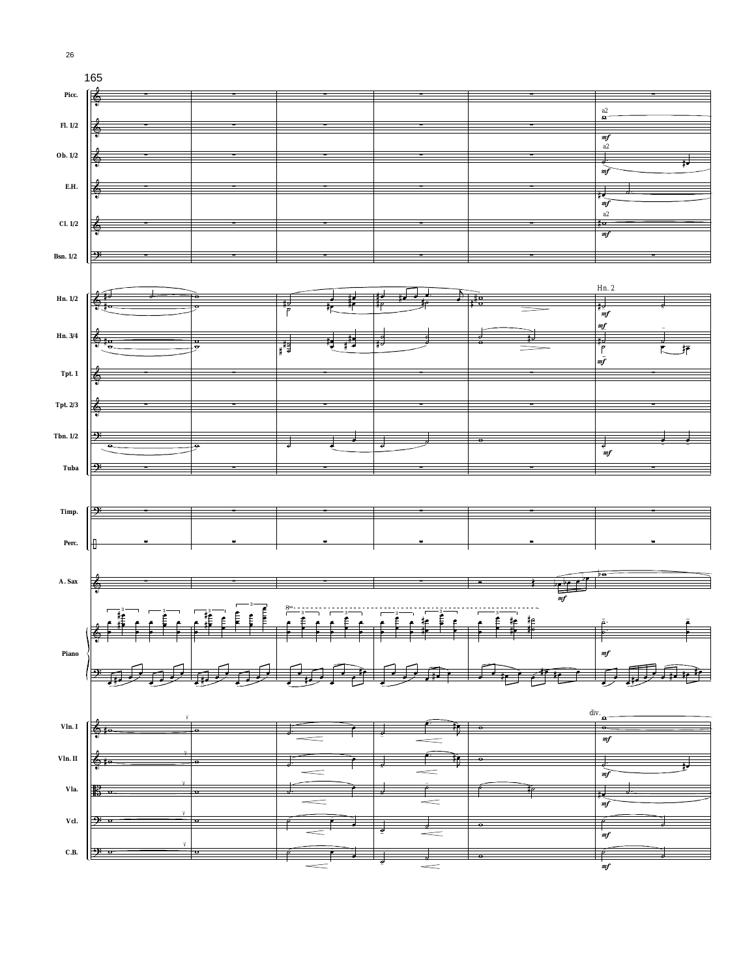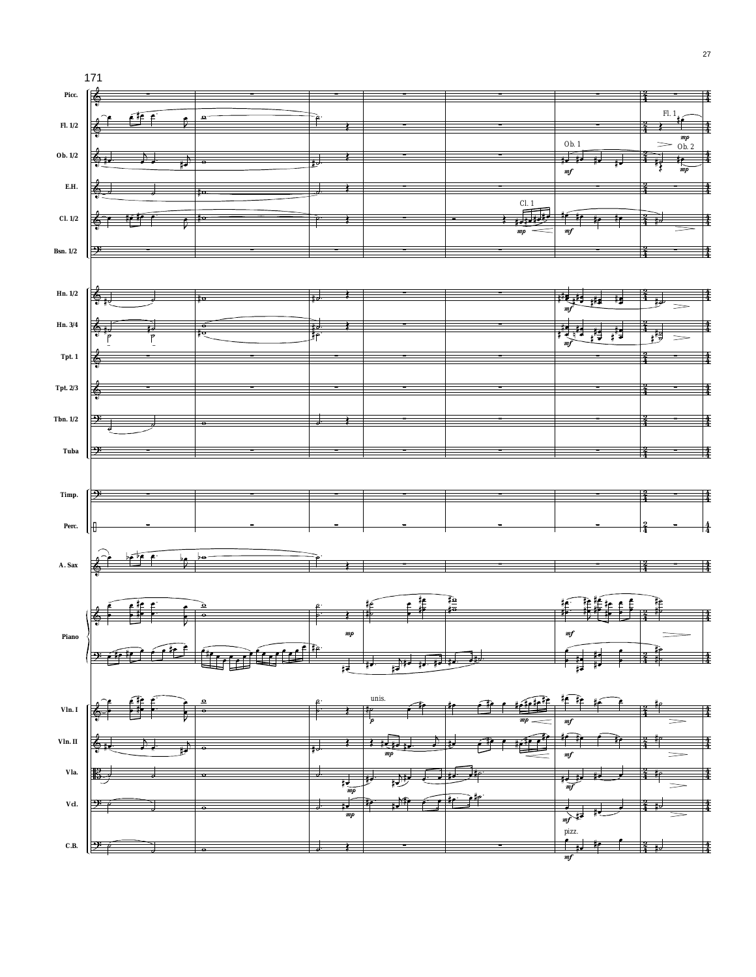

<sup>27</sup>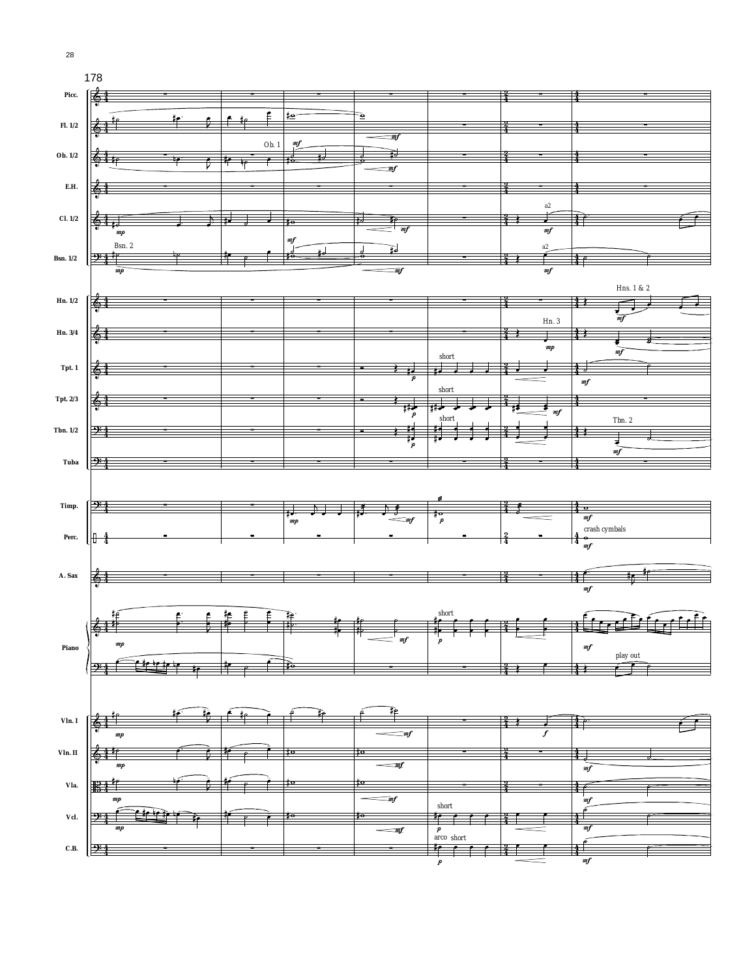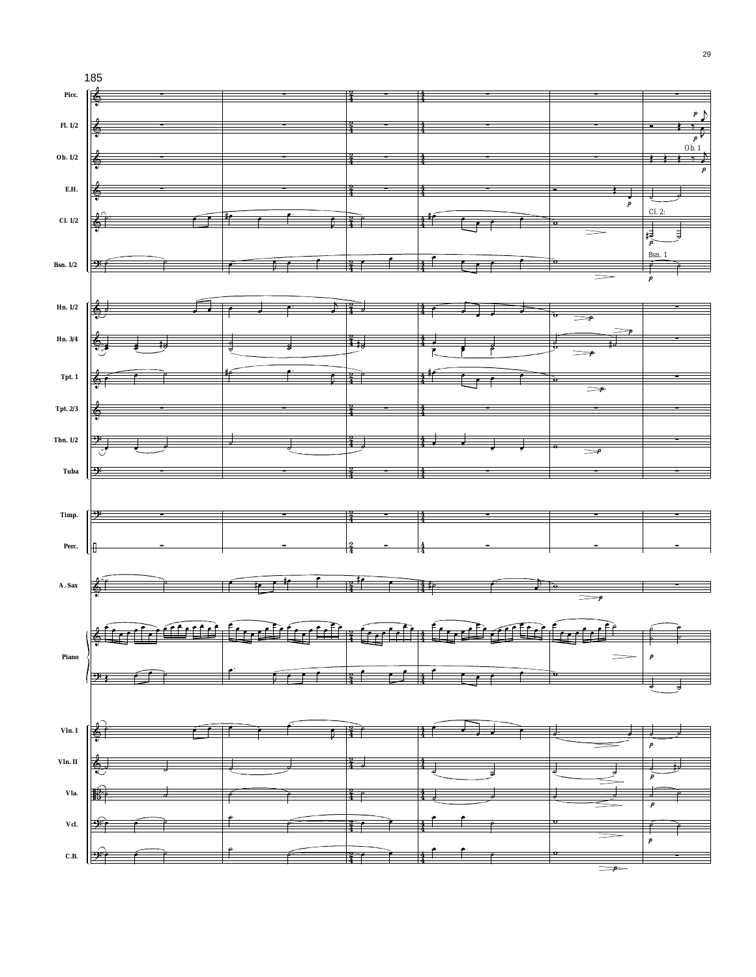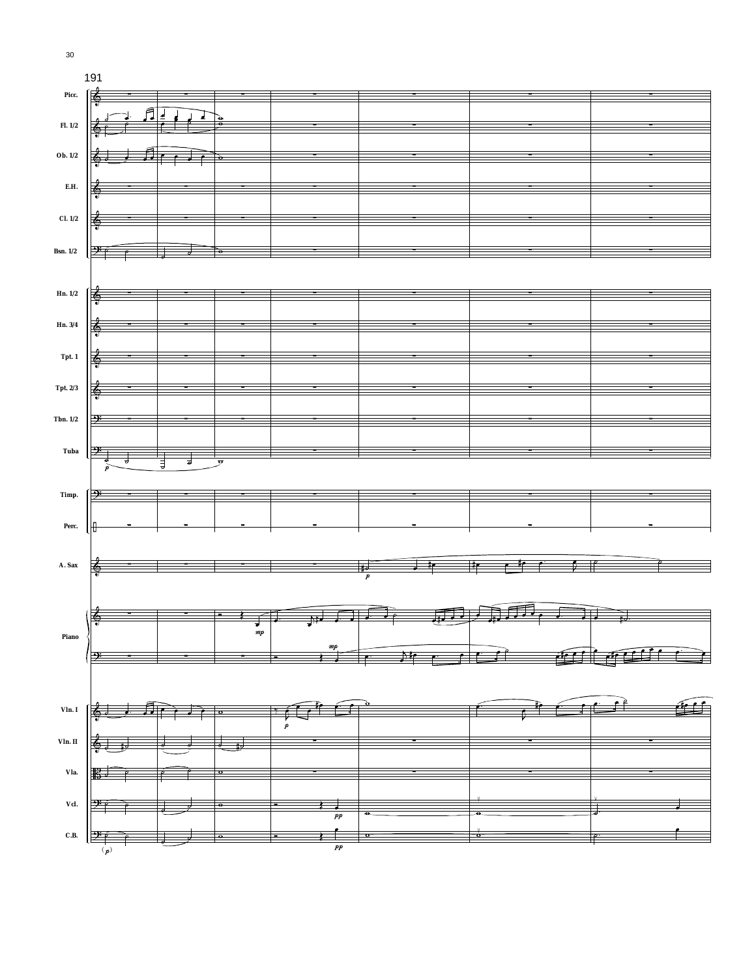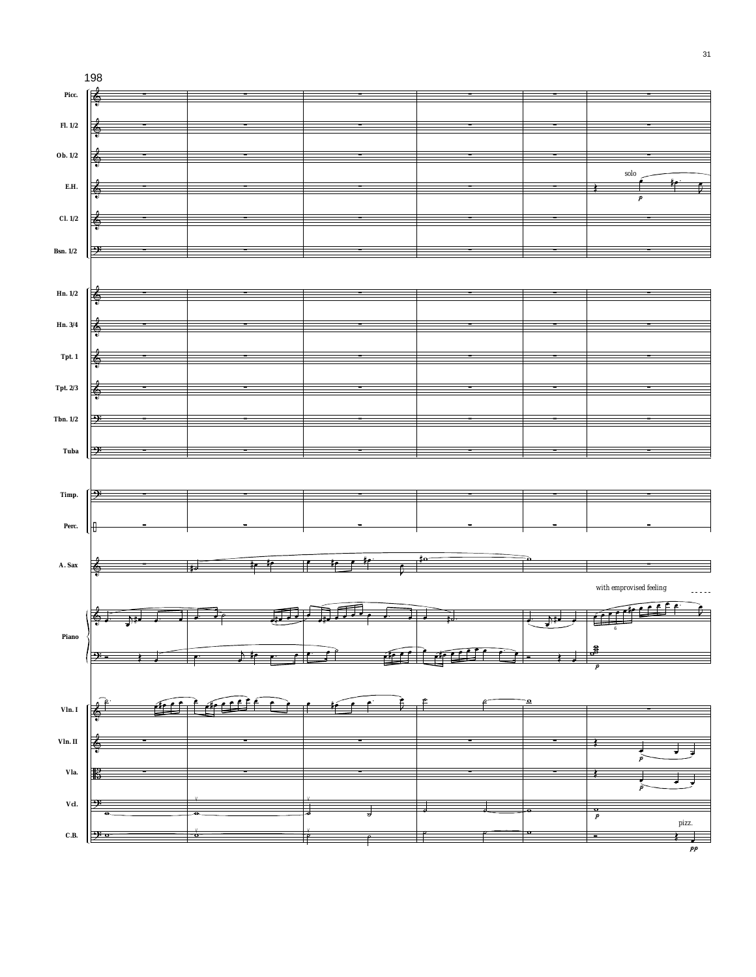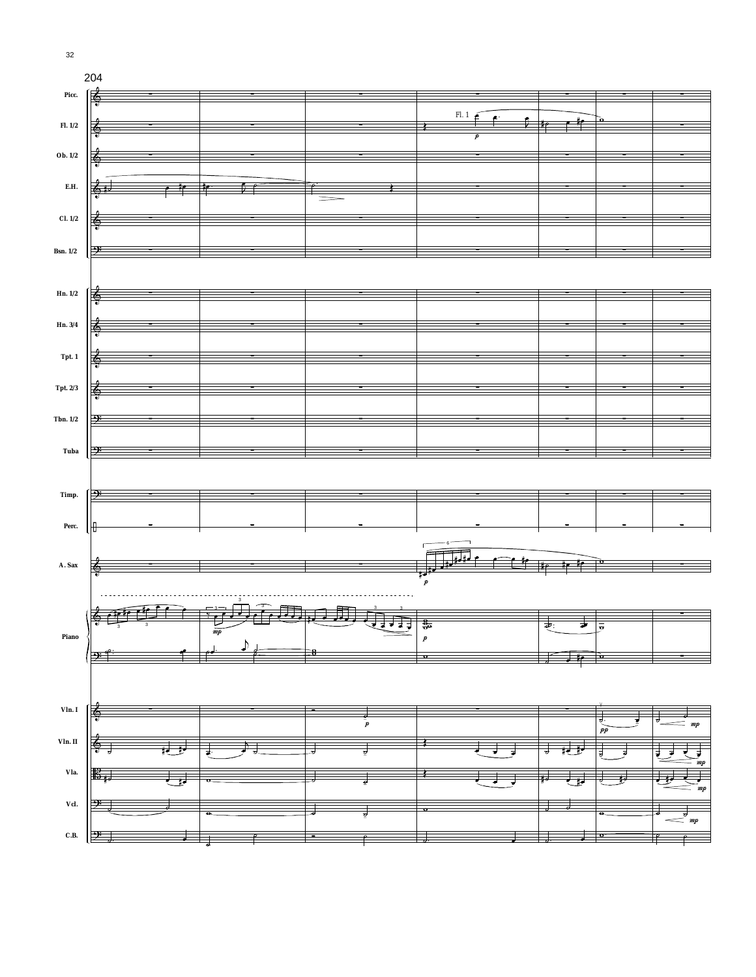